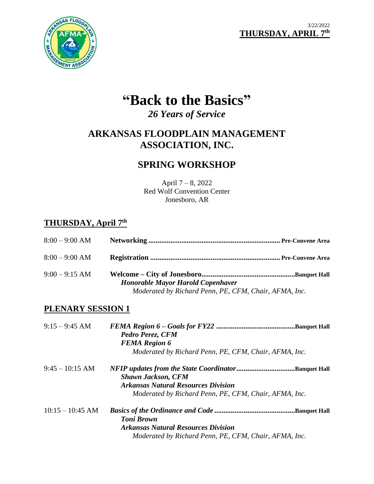



# **"Back to the Basics"**

*26 Years of Service*

# **ARKANSAS FLOODPLAIN MANAGEMENT ASSOCIATION, INC.**

# **SPRING WORKSHOP**

April 7 – 8, 2022 Red Wolf Convention Center Jonesboro, AR

# **THURSDAY, April 7 th**

| $8:00 - 9:00$ AM |                                                                                                   |  |
|------------------|---------------------------------------------------------------------------------------------------|--|
| $8:00 - 9:00$ AM |                                                                                                   |  |
| $9:00 - 9:15$ AM | <b>Honorable Mayor Harold Copenhaver</b><br>Moderated by Richard Penn, PE, CFM, Chair, AFMA, Inc. |  |

### **PLENARY SESSION 1**

| $9:15 - 9:45$ AM   | Pedro Perez, CFM<br><b>FEMA</b> Region 6<br>Moderated by Richard Penn, PE, CFM, Chair, AFMA, Inc.                              |
|--------------------|--------------------------------------------------------------------------------------------------------------------------------|
| $9:45 - 10:15$ AM  | NFIP updates from the State CoordinatorBanquet Hall<br><b>Shawn Jackson, CFM</b><br><b>Arkansas Natural Resources Division</b> |
|                    | Moderated by Richard Penn, PE, CFM, Chair, AFMA, Inc.                                                                          |
| $10:15 - 10:45$ AM | <b>Toni Brown</b>                                                                                                              |
|                    | <b>Arkansas Natural Resources Division</b>                                                                                     |
|                    | Moderated by Richard Penn, PE, CFM, Chair, AFMA, Inc.                                                                          |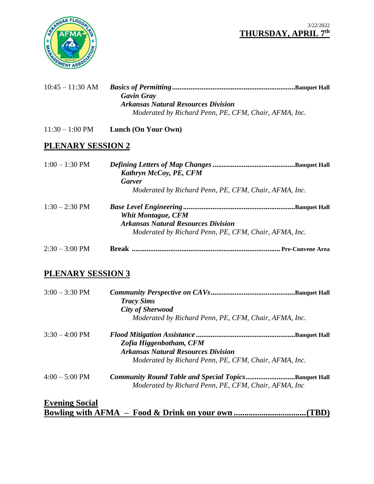#### 3/22/2022 **THURSDAY, APRIL 7 th**



| $10:45 - 11:30$ AM |                                                       |
|--------------------|-------------------------------------------------------|
|                    | <b>Gavin Gray</b>                                     |
|                    | <b>Arkansas Natural Resources Division</b>            |
|                    | Moderated by Richard Penn, PE, CFM, Chair, AFMA, Inc. |

11:30 – 1:00 PM **Lunch (On Your Own)**

# **PLENARY SESSION 2**

| $1:00 - 1:30$ PM         | Kathryn McCoy, PE, CFM<br><b>Garver</b><br>Moderated by Richard Penn, PE, CFM, Chair, AFMA, Inc.                                 |
|--------------------------|----------------------------------------------------------------------------------------------------------------------------------|
| $1:30 - 2:30 \text{ PM}$ | <b>Whit Montague, CFM</b><br><b>Arkansas Natural Resources Division</b><br>Moderated by Richard Penn, PE, CFM, Chair, AFMA, Inc. |
| $2:30 - 3:00 \text{ PM}$ | <b>Pre-Convene Area</b>                                                                                                          |

# **PLENARY SESSION 3**

| $3:00 - 3:30$ PM         | <b>Tracy Sims</b><br><b>City of Sherwood</b>          |  |
|--------------------------|-------------------------------------------------------|--|
|                          | Moderated by Richard Penn, PE, CFM, Chair, AFMA, Inc. |  |
| $3:30 - 4:00 \text{ PM}$ |                                                       |  |
|                          | Zofia Higgenbotham, CFM                               |  |
|                          | <b>Arkansas Natural Resources Division</b>            |  |
|                          | Moderated by Richard Penn, PE, CFM, Chair, AFMA, Inc. |  |
| $4:00 - 5:00 \text{ PM}$ | Community Round Table and Special TopicsBanquet Hall  |  |
|                          | Moderated by Richard Penn, PE, CFM, Chair, AFMA, Inc  |  |
| <b>Evening Social</b>    |                                                       |  |
|                          | 1 KD.                                                 |  |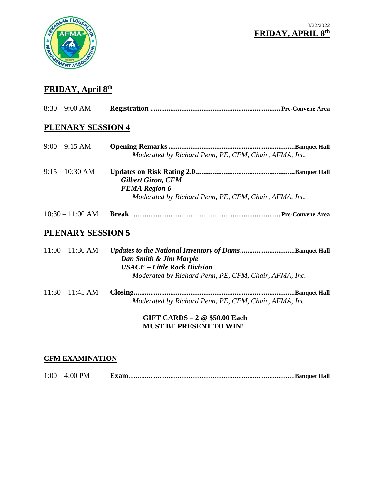



## **FRIDAY, April 8 th**

| $8:30 - 9:00$ AM |  |
|------------------|--|
|                  |  |

#### **PLENARY SESSION 4**

| $9:00 - 9:15$ AM | Moderated by Richard Penn, PE, CFM, Chair, AFMA, Inc.                                                      |  |
|------------------|------------------------------------------------------------------------------------------------------------|--|
| $9:15-10:30$ AM  | <b>Gilbert Giron, CFM</b><br><b>FEMA</b> Region 6<br>Moderated by Richard Penn, PE, CFM, Chair, AFMA, Inc. |  |

10:30 – 11:00 AM **Break** ................................................................................. **Pre-Convene Area**

# **PLENARY SESSION 5**

| $11:00 - 11:30$ AM | Dan Smith & Jim Marple<br><b>USACE</b> – Little Rock Division<br>Moderated by Richard Penn, PE, CFM, Chair, AFMA, Inc. |
|--------------------|------------------------------------------------------------------------------------------------------------------------|
| $11:30 - 11:45$ AM | Moderated by Richard Penn, PE, CFM, Chair, AFMA, Inc.                                                                  |

**GIFT CARDS – 2 @ \$50.00 Each MUST BE PRESENT TO WIN!**

#### **CFM EXAMINATION**

1:00 – 4:00 PM **Exam**...........................................................................................**Banquet Hall**